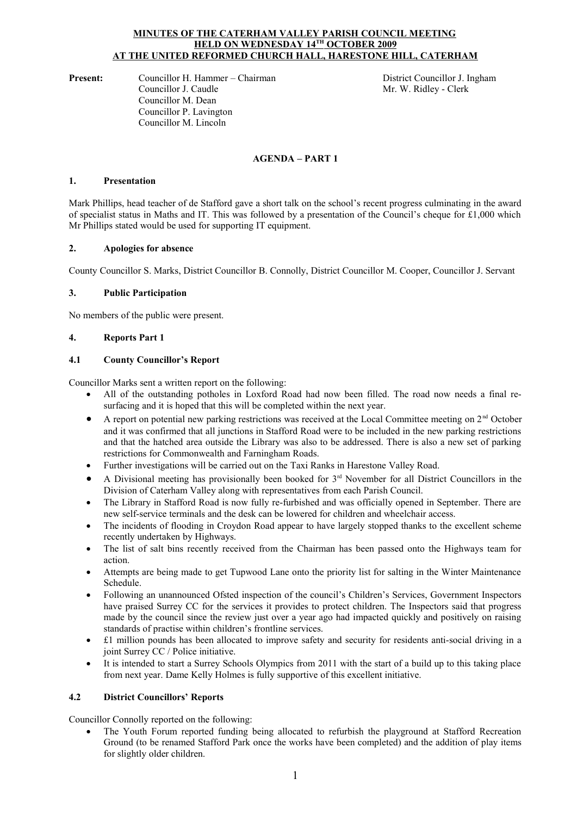#### **MINUTES OF THE CATERHAM VALLEY PARISH COUNCIL MEETING HELD ON WEDNESDAY 14TH OCTOBER 2009 AT THE UNITED REFORMED CHURCH HALL, HARESTONE HILL, CATERHAM**

**Present:** Councillor H. Hammer – Chairman District Councillor J. Ingham Councillor J. Caudle Mr. W. Ridley - Clerk Councillor M. Dean Councillor P. Lavington Councillor M. Lincoln

Mr. W. Ridley - Clerk

### **AGENDA – PART 1**

### **1. Presentation**

Mark Phillips, head teacher of de Stafford gave a short talk on the school's recent progress culminating in the award of specialist status in Maths and IT. This was followed by a presentation of the Council's cheque for £1,000 which Mr Phillips stated would be used for supporting IT equipment.

### **2. Apologies for absence**

County Councillor S. Marks, District Councillor B. Connolly, District Councillor M. Cooper, Councillor J. Servant

### **3. Public Participation**

No members of the public were present.

### **4. Reports Part 1**

### **4.1 County Councillor's Report**

Councillor Marks sent a written report on the following:

- All of the outstanding potholes in Loxford Road had now been filled. The road now needs a final resurfacing and it is hoped that this will be completed within the next year.
- A report on potential new parking restrictions was received at the Local Committee meeting on  $2<sup>nd</sup>$  October and it was confirmed that all junctions in Stafford Road were to be included in the new parking restrictions and that the hatched area outside the Library was also to be addressed. There is also a new set of parking restrictions for Commonwealth and Farningham Roads.
- Further investigations will be carried out on the Taxi Ranks in Harestone Valley Road.
- A Divisional meeting has provisionally been booked for 3rd November for all District Councillors in the Division of Caterham Valley along with representatives from each Parish Council.
- The Library in Stafford Road is now fully re-furbished and was officially opened in September. There are new self-service terminals and the desk can be lowered for children and wheelchair access.
- The incidents of flooding in Croydon Road appear to have largely stopped thanks to the excellent scheme recently undertaken by Highways.
- The list of salt bins recently received from the Chairman has been passed onto the Highways team for action.
- Attempts are being made to get Tupwood Lane onto the priority list for salting in the Winter Maintenance Schedule.
- Following an unannounced Ofsted inspection of the council's Children's Services, Government Inspectors have praised Surrey CC for the services it provides to protect children. The Inspectors said that progress made by the council since the review just over a year ago had impacted quickly and positively on raising standards of practise within children's frontline services.
- £1 million pounds has been allocated to improve safety and security for residents anti-social driving in a joint Surrey CC / Police initiative.
- It is intended to start a Surrey Schools Olympics from 2011 with the start of a build up to this taking place from next year. Dame Kelly Holmes is fully supportive of this excellent initiative.

#### **4.2 District Councillors' Reports**

Councillor Connolly reported on the following:

 The Youth Forum reported funding being allocated to refurbish the playground at Stafford Recreation Ground (to be renamed Stafford Park once the works have been completed) and the addition of play items for slightly older children.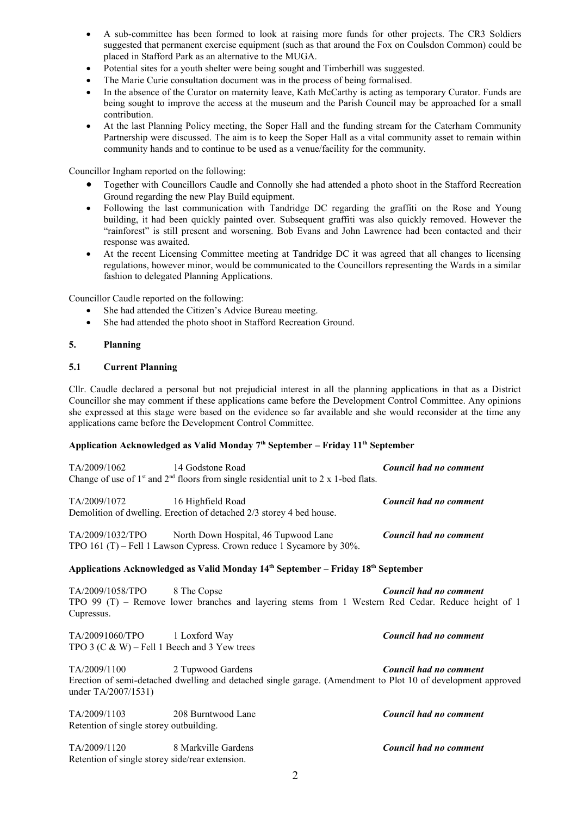- A sub-committee has been formed to look at raising more funds for other projects. The CR3 Soldiers suggested that permanent exercise equipment (such as that around the Fox on Coulsdon Common) could be placed in Stafford Park as an alternative to the MUGA.
- Potential sites for a youth shelter were being sought and Timberhill was suggested.
- The Marie Curie consultation document was in the process of being formalised.
- In the absence of the Curator on maternity leave, Kath McCarthy is acting as temporary Curator. Funds are being sought to improve the access at the museum and the Parish Council may be approached for a small contribution.
- At the last Planning Policy meeting, the Soper Hall and the funding stream for the Caterham Community Partnership were discussed. The aim is to keep the Soper Hall as a vital community asset to remain within community hands and to continue to be used as a venue/facility for the community.

Councillor Ingham reported on the following:

- Together with Councillors Caudle and Connolly she had attended a photo shoot in the Stafford Recreation Ground regarding the new Play Build equipment.
- Following the last communication with Tandridge DC regarding the graffiti on the Rose and Young building, it had been quickly painted over. Subsequent graffiti was also quickly removed. However the "rainforest" is still present and worsening. Bob Evans and John Lawrence had been contacted and their response was awaited.
- At the recent Licensing Committee meeting at Tandridge DC it was agreed that all changes to licensing regulations, however minor, would be communicated to the Councillors representing the Wards in a similar fashion to delegated Planning Applications.

Councillor Caudle reported on the following:

- She had attended the Citizen's Advice Bureau meeting.
- She had attended the photo shoot in Stafford Recreation Ground.

### **5. Planning**

### **5.1 Current Planning**

Cllr. Caudle declared a personal but not prejudicial interest in all the planning applications in that as a District Councillor she may comment if these applications came before the Development Control Committee. Any opinions she expressed at this stage were based on the evidence so far available and she would reconsider at the time any applications came before the Development Control Committee.

# **Application Acknowledged as Valid Monday 7th September – Friday 11th September**

| TA/2009/1062                                                                  | 14 Godstone Road<br>Change of use of $1st$ and $2nd$ floors from single residential unit to 2 x 1-bed flats.                      | Council had no comment |
|-------------------------------------------------------------------------------|-----------------------------------------------------------------------------------------------------------------------------------|------------------------|
| TA/2009/1072                                                                  | 16 Highfield Road<br>Demolition of dwelling. Erection of detached 2/3 storey 4 bed house.                                         | Council had no comment |
| TA/2009/1032/TPO                                                              | North Down Hospital, 46 Tupwood Lane<br>TPO 161 (T) – Fell 1 Lawson Cypress. Crown reduce 1 Sycamore by 30%.                      | Council had no comment |
|                                                                               | Applications Acknowledged as Valid Monday 14th September – Friday 18th September                                                  |                        |
| TA/2009/1058/TPO<br>Cupressus.                                                | 8 The Copse<br>TPO 99 (T) - Remove lower branches and layering stems from 1 Western Red Cedar. Reduce height of 1                 | Council had no comment |
| TA/20091060/TPO 1 Loxford Way<br>TPO 3 (C & W) – Fell 1 Beech and 3 Yew trees |                                                                                                                                   | Council had no comment |
| TA/2009/1100<br>under TA/2007/1531)                                           | 2 Tupwood Gardens<br>Erection of semi-detached dwelling and detached single garage. (Amendment to Plot 10 of development approved | Council had no comment |
| TA/2009/1103<br>Retention of single storey outbuilding.                       | 208 Burntwood Lane                                                                                                                | Council had no comment |
| TA/2009/1120<br>Retention of single storey side/rear extension.               | 8 Markville Gardens                                                                                                               | Council had no comment |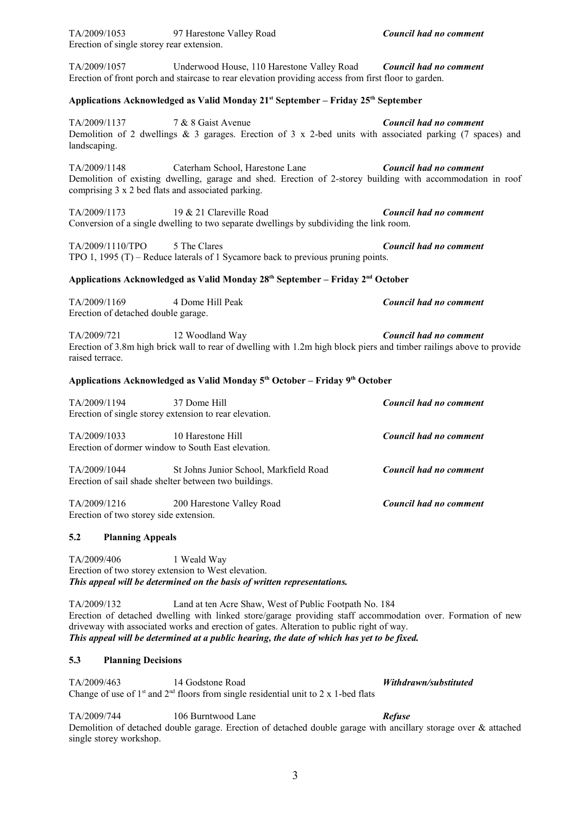| TA/2009/1057                                           | Underwood House, 110 Harestone Valley Road Council had no comment<br>Erection of front porch and staircase to rear elevation providing access from first floor to garden.                                                                                                                                                                                       |                               |
|--------------------------------------------------------|-----------------------------------------------------------------------------------------------------------------------------------------------------------------------------------------------------------------------------------------------------------------------------------------------------------------------------------------------------------------|-------------------------------|
|                                                        | Applications Acknowledged as Valid Monday 21 <sup>st</sup> September - Friday 25 <sup>th</sup> September                                                                                                                                                                                                                                                        |                               |
| TA/2009/1137<br>landscaping.                           | 7 & 8 Gaist Avenue<br>Demolition of 2 dwellings $\&$ 3 garages. Erection of 3 x 2-bed units with associated parking (7 spaces) and                                                                                                                                                                                                                              | Council had no comment        |
| TA/2009/1148                                           | Caterham School, Harestone Lane<br>Demolition of existing dwelling, garage and shed. Erection of 2-storey building with accommodation in roof<br>comprising 3 x 2 bed flats and associated parking.                                                                                                                                                             | Council had no comment        |
| TA/2009/1173                                           | 19 & 21 Clareville Road<br>Conversion of a single dwelling to two separate dwellings by subdividing the link room.                                                                                                                                                                                                                                              | Council had no comment        |
| TA/2009/1110/TPO                                       | 5 The Clares<br>TPO 1, 1995 $(T)$ – Reduce laterals of 1 Sycamore back to previous pruning points.                                                                                                                                                                                                                                                              | Council had no comment        |
|                                                        | Applications Acknowledged as Valid Monday 28 <sup>th</sup> September - Friday 2 <sup>nd</sup> October                                                                                                                                                                                                                                                           |                               |
| TA/2009/1169<br>Erection of detached double garage.    | 4 Dome Hill Peak                                                                                                                                                                                                                                                                                                                                                | Council had no comment        |
| TA/2009/721<br>raised terrace.                         | 12 Woodland Way<br>Erection of 3.8m high brick wall to rear of dwelling with 1.2m high block piers and timber railings above to provide                                                                                                                                                                                                                         | Council had no comment        |
|                                                        | Applications Acknowledged as Valid Monday 5 <sup>th</sup> October - Friday 9 <sup>th</sup> October                                                                                                                                                                                                                                                              |                               |
| TA/2009/1194                                           | 37 Dome Hill<br>Erection of single storey extension to rear elevation.                                                                                                                                                                                                                                                                                          | Council had no comment        |
| TA/2009/1033                                           | 10 Harestone Hill<br>Erection of dormer window to South East elevation.                                                                                                                                                                                                                                                                                         | Council had no comment        |
| TA/2009/1044                                           | St Johns Junior School, Markfield Road<br>Erection of sail shade shelter between two buildings.                                                                                                                                                                                                                                                                 | <b>Council had no comment</b> |
| TA/2009/1216<br>Erection of two storey side extension. | 200 Harestone Valley Road                                                                                                                                                                                                                                                                                                                                       | Council had no comment        |
| 5.2<br><b>Planning Appeals</b>                         |                                                                                                                                                                                                                                                                                                                                                                 |                               |
| TA/2009/406                                            | 1 Weald Way<br>Erection of two storey extension to West elevation.<br>This appeal will be determined on the basis of written representations.                                                                                                                                                                                                                   |                               |
| TA/2009/132                                            | Land at ten Acre Shaw, West of Public Footpath No. 184<br>Erection of detached dwelling with linked store/garage providing staff accommodation over. Formation of new<br>driveway with associated works and erection of gates. Alteration to public right of way.<br>This appeal will be determined at a public hearing, the date of which has yet to be fixed. |                               |
| 5.3<br><b>Planning Decisions</b>                       |                                                                                                                                                                                                                                                                                                                                                                 |                               |
| TA/2009/463                                            | 14 Godstone Road<br>Change of use of $1st$ and $2nd$ floors from single residential unit to 2 x 1-bed flats                                                                                                                                                                                                                                                     | Withdrawn/substituted         |
| TA/2009/744<br>single storey workshop.                 | 106 Burntwood Lane<br>Demolition of detached double garage. Erection of detached double garage with ancillary storage over & attached                                                                                                                                                                                                                           | Refuse                        |
|                                                        |                                                                                                                                                                                                                                                                                                                                                                 |                               |
|                                                        | 3                                                                                                                                                                                                                                                                                                                                                               |                               |

TA/2009/1053 97 Harestone Valley Road *Council had no comment*

Erection of single storey rear extension.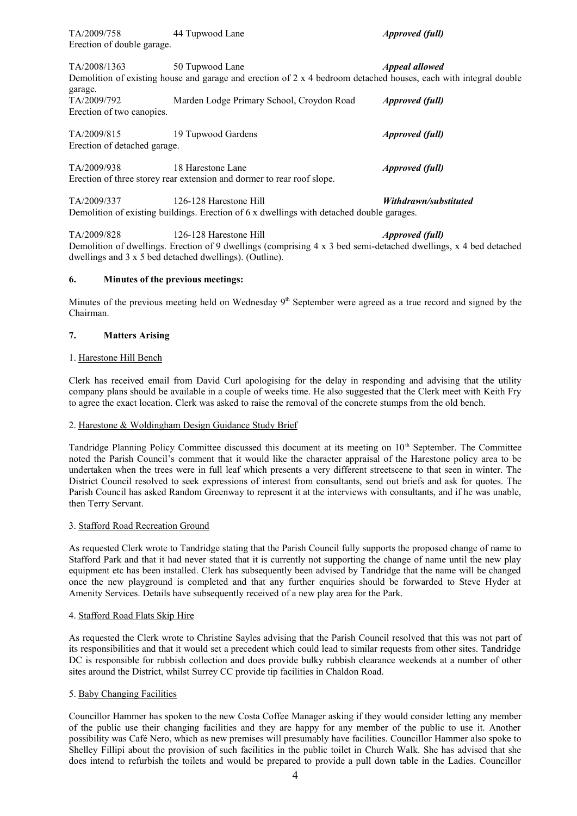TA/2009/758 44 Tupwood Lane *Approved (full)* Erection of double garage.

TA/2008/1363 50 Tupwood Lane *Appeal allowed* Demolition of existing house and garage and erection of 2 x 4 bedroom detached houses, each with integral double  $\alpha$ 

| garago.                   |                                           |                        |  |
|---------------------------|-------------------------------------------|------------------------|--|
| TA/2009/792               | Marden Lodge Primary School, Croydon Road | <i>Approved (full)</i> |  |
| Erection of two canopies. |                                           |                        |  |
|                           |                                           |                        |  |

TA/2009/815 19 Tupwood Gardens *Approved (full)* Erection of detached garage.

TA/2009/938 18 Harestone Lane *Approved (full)* Erection of three storey rear extension and dormer to rear roof slope.

TA/2009/337 126-128 Harestone Hill *Withdrawn/substituted* Demolition of existing buildings. Erection of 6 x dwellings with detached double garages.

TA/2009/828 126-128 Harestone Hill *Approved (full)* Demolition of dwellings. Erection of 9 dwellings (comprising 4 x 3 bed semi-detached dwellings, x 4 bed detached dwellings and 3 x 5 bed detached dwellings). (Outline).

### **6. Minutes of the previous meetings:**

Minutes of the previous meeting held on Wednesday  $9<sup>th</sup>$  September were agreed as a true record and signed by the Chairman.

### **7. Matters Arising**

### 1. Harestone Hill Bench

Clerk has received email from David Curl apologising for the delay in responding and advising that the utility company plans should be available in a couple of weeks time. He also suggested that the Clerk meet with Keith Fry to agree the exact location. Clerk was asked to raise the removal of the concrete stumps from the old bench.

#### 2. Harestone & Woldingham Design Guidance Study Brief

Tandridge Planning Policy Committee discussed this document at its meeting on 10<sup>th</sup> September. The Committee noted the Parish Council's comment that it would like the character appraisal of the Harestone policy area to be undertaken when the trees were in full leaf which presents a very different streetscene to that seen in winter. The District Council resolved to seek expressions of interest from consultants, send out briefs and ask for quotes. The Parish Council has asked Random Greenway to represent it at the interviews with consultants, and if he was unable, then Terry Servant.

### 3. Stafford Road Recreation Ground

As requested Clerk wrote to Tandridge stating that the Parish Council fully supports the proposed change of name to Stafford Park and that it had never stated that it is currently not supporting the change of name until the new play equipment etc has been installed. Clerk has subsequently been advised by Tandridge that the name will be changed 3. Stafford Road Recreation Ground<br>As requested Clerk wrote to Tandridge stating that the Parish Council fully supports the proposed change of name to<br>Stafford Park and that it had never stated that it is currently not sup Amenity Services. Details have subsequently received of a new play area for the Park.

#### 4. Stafford Road Flats Skip Hire

As requested the Clerk wrote to Christine Sayles advising that the Parish Council resolved that this was not part of its responsibilities and that it would set a precedent which could lead to similar requests from other sites. Tandridge DC is responsible for rubbish collection and does provide bulky rubbish clearance weekends at a number of other sites around the District, whilst Surrey CC provide tip facilities in Chaldon Road.

#### 5. Baby Changing Facilities

Councillor Hammer has spoken to the new Costa Coffee Manager asking if they would consider letting any member of the public use their changing facilities and they are happy for any member of the public to use it. Another possibility was Café Nero, which as new premises will presumably have facilities. Councillor Hammer also spoke to Shelley Fillipi about the provision of such facilities in the public toilet in Church Walk. She has advised that she does intend to refurbish the toilets and would be prepared to provide a pull down table in the Ladies. Councillor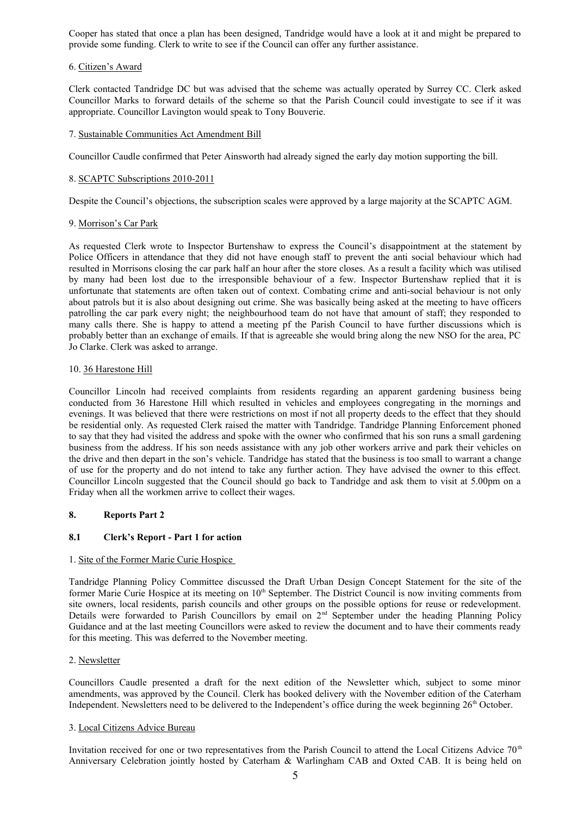Cooper has stated that once a plan has been designed, Tandridge would have a look at it and might be prepared to provide some funding. Clerk to write to see if the Council can offer any further assistance.

### 6. Citizen's Award

Clerk contacted Tandridge DC but was advised that the scheme was actually operated by Surrey CC. Clerk asked Councillor Marks to forward details of the scheme so that the Parish Council could investigate to see if it was appropriate. Councillor Lavington would speak to Tony Bouverie.

#### 7. Sustainable Communities Act Amendment Bill

Councillor Caudle confirmed that Peter Ainsworth had already signed the early day motion supporting the bill.

### 8. SCAPTC Subscriptions 2010-2011

Despite the Council's objections, the subscription scales were approved by a large majority at the SCAPTC AGM.

#### 9. Morrison's Car Park

As requested Clerk wrote to Inspector Burtenshaw to express the Council's disappointment at the statement by Police Officers in attendance that they did not have enough staff to prevent the anti social behaviour which had resulted in Morrisons closing the car park half an hour after the store closes. As a result a facility which was utilised 9. Morrison's Car Park<br>As requested Clerk wrote to Inspector Burtenshaw to express the Council's disappointment at the statement by<br>Police Officers in attendance that they did not have enough staff to prevent the anti soci unfortunate that statements are often taken out of context. Combating crime and anti-social behaviour is not only about patrols but it is also about designing out crime. She was basically being asked at the meeting to have officers patrolling the car park every night; the neighbourhood team do not have that amount of staff; they responded to many calls there. She is happy to attend a meeting pf the Parish Council to have further discussions which is probably better than an exchange of emails. If that is agreeable she would bring along the new NSO for the area, PC Jo Clarke. Clerk was asked to arrange.

#### 10. 36 Harestone Hill

probably better than an exchange of emails. If that is agreeable she would bring along the new NSO for the area, PC<br>Jo Clarke. Clerk was asked to arrange.<br>10. <u>36 Harestone Hill</u><br>Councillor Lincoln had received complaints evenings. It was believed that there were restrictions on most if not all property deeds to the effect that they should be residential only. As requested Clerk raised the matter with Tandridge. Tandridge Planning Enforcement phoned to say that they had visited the address and spoke with the owner who confirmed that his son runs a small gardening business from the address. If his son needs assistance with any job other workers arrive and park their vehicles on the drive and then depart in the son's vehicle. Tandridge has stated that the business is too small to warrant a change of use for the property and do not intend to take any further action. They have advised the owner to this effect. Councillor Lincoln suggested that the Council should go back to Tandridge and ask them to visit at 5.00pm on a Friday when all the workmen arrive to collect their wages.

### **8. Reports Part 2**

#### **8.1 Clerk's Report - Part 1 for action**

#### 1. Site of the Former Marie Curie Hospice

Tandridge Planning Policy Committee discussed the Draft Urban Design Concept Statement for the site of the former Marie Curie Hospice at its meeting on 10<sup>th</sup> September. The District Council is now inviting comments from site owners, local residents, parish councils and other groups on the possible options for reuse or redevelopment.<br>Details were forwarded to Parish Councillors by email on 2<sup>nd</sup> September under the heading Planning Policy 1. Site of the Former Marie Curie Hospice<br>Tandridge Planning Policy Committee discussed the Draft Urban Design Concept Statement for the site of the<br>former Marie Curie Hospice at its meeting on 10<sup>th</sup> September. The Distr Guidance and at the last meeting Councillors were asked to review the document and to have their comments ready for this meeting. This was deferred to the November meeting.

#### 2. Newsletter

Guidance and at the last meeting Councillors were asked to review the document and to have their comments ready<br>for this meeting. This was deferred to the November meeting.<br>2. <u>Newsletter</u><br>Councillors Caudle presented a dr Independent. Newsletters need to be delivered to the Independent's office during the week beginning 26<sup>th</sup> October.

#### 3. Local Citizens Advice Bureau

Invitation received for one or two representatives from the Parish Council to attend the Local Citizens Advice 70<sup>th</sup> Anniversary Celebration jointly hosted by Caterham & Warlingham CAB and Oxted CAB. It is being held on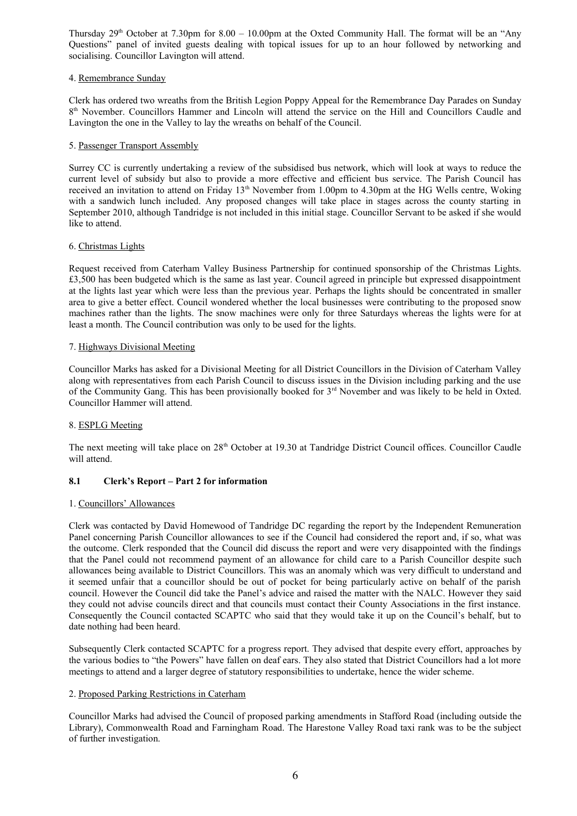Thursday  $29<sup>th</sup>$  October at 7.30pm for 8.00 – 10.00pm at the Oxted Community Hall. The format will be an "Any Questions" panel of invited guests dealing with topical issues for up to an hour followed by networking and socialising. Councillor Lavington will attend.

### 4. Remembrance Sunday

Clerk has ordered two wreaths from the British Legion Poppy Appeal for the Remembrance Day Parades on Sunday 8<sup>th</sup> November. Councillors Hammer and Lincoln will attend the service on the Hill and Councillors Caudle and Lavington the one in the Valley to lay the wreaths on behalf of the Council.

### 5. Passenger Transport Assembly

Surrey CC is currently undertaking a review of the subsidised bus network, which will look at ways to reduce the current level of subsidy but also to provide a more effective and efficient bus service. The Parish Council has received an invitation to attend on Friday  $13<sup>th</sup>$  November from 1.00pm to 4.30pm at the HG Wells centre, Woking with a sandwich lunch included. Any proposed changes will take place in stages across the county starting in September 2010, although Tandridge is not included in this initial stage. Councillor Servant to be asked if she would like to attend.

### 6. Christmas Lights

Request received from Caterham Valley Business Partnership for continued sponsorship of the Christmas Lights. £3,500 has been budgeted which is the same as last year. Council agreed in principle but expressed disappointment at the lights last year which were less than the previous year. Perhaps the lights should be concentrated in smaller area to give a better effect. Council wondered whether the local businesses were contributing to the proposed snow machines rather than the lights. The snow machines were only for three Saturdays whereas the lights were for at least a month. The Council contribution was only to be used for the lights.

#### 7. Highways Divisional Meeting

Councillor Marks has asked for a Divisional Meeting for all District Councillors in the Division of Caterham Valley along with representatives from each Parish Council to discuss issues in the Division including parking and the use of the Community Gang. This has been provisionally booked for 3rd November and was likely to be held in Oxted. Councillor Hammer will attend.

# 8. ESPLG Meeting

The next meeting will take place on 28<sup>th</sup> October at 19.30 at Tandridge District Council offices. Councillor Caudle will attend.

# **8.1 Clerk's Report – Part 2 for information**

### 1. Councillors' Allowances

Clerk was contacted by David Homewood of Tandridge DC regarding the report by the Independent Remuneration Panel concerning Parish Councillor allowances to see if the Council had considered the report and, if so, what was the outcome. Clerk responded that the Council did discuss the report and were very disappointed with the findings that the Panel could not recommend payment of an allowance for child care to a Parish Councillor despite such allowances being available to District Councillors. This was an anomaly which was very difficult to understand and it seemed unfair that a councillor should be out of pocket for being particularly active on behalf of the parish council. However the Council did take the Panel's advice and raised the matter with the NALC. However they said they could not advise councils direct and that councils must contact their County Associations in the first instance. Consequently the Council contacted SCAPTC who said that they would take it up on the Council's behalf, but to date nothing had been heard.

Subsequently Clerk contacted SCAPTC for a progress report. They advised that despite every effort, approaches by the various bodies to "the Powers" have fallen on deaf ears. They also stated that District Councillors had a lot more meetings to attend and a larger degree of statutory responsibilities to undertake, hence the wider scheme.

#### 2. Proposed Parking Restrictions in Caterham

Councillor Marks had advised the Council of proposed parking amendments in Stafford Road (including outside the Library), Commonwealth Road and Farningham Road. The Harestone Valley Road taxi rank was to be the subject of further investigation.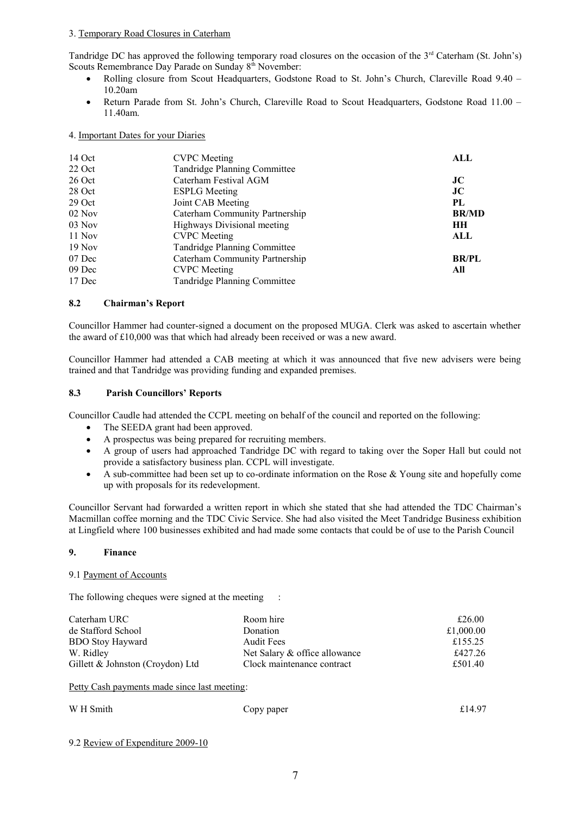#### 3. Temporary Road Closures in Caterham

Tandridge DC has approved the following temporary road closures on the occasion of the  $3<sup>rd</sup>$  Caterham (St. John's) Scouts Remembrance Day Parade on Sunday 8<sup>th</sup> November:

- Rolling closure from Scout Headquarters, Godstone Road to St. John's Church, Clareville Road 9.40 10.20am
- Return Parade from St. John's Church, Clareville Road to Scout Headquarters, Godstone Road 11.00 11.40am.

#### 4. Important Dates for your Diaries

| 14 Oct   | <b>CVPC</b> Meeting            | ALL          |
|----------|--------------------------------|--------------|
| 22 Oct   | Tandridge Planning Committee   |              |
| 26 Oct   | Caterham Festival AGM          | JC           |
| 28 Oct   | <b>ESPLG</b> Meeting           | JC           |
| 29 Oct   | Joint CAB Meeting              | PL           |
| $02$ Nov | Caterham Community Partnership | <b>BR/MD</b> |
| $03$ Nov | Highways Divisional meeting    | HН           |
| 11 Nov   | <b>CVPC</b> Meeting            | ALL          |
| $19$ Nov | Tandridge Planning Committee   |              |
| 07 Dec   | Caterham Community Partnership | <b>BR/PL</b> |
| 09 Dec   | <b>CVPC</b> Meeting            | All          |
| 17 Dec   | Tandridge Planning Committee   |              |

### **8.2 Chairman's Report**

Councillor Hammer had counter-signed a document on the proposed MUGA. Clerk was asked to ascertain whether the award of £10,000 was that which had already been received or was a new award.

Councillor Hammer had attended a CAB meeting at which it was announced that five new advisers were being trained and that Tandridge was providing funding and expanded premises.

#### **8.3 Parish Councillors' Reports**

Councillor Caudle had attended the CCPL meeting on behalf of the council and reported on the following:

- The SEEDA grant had been approved.
- A prospectus was being prepared for recruiting members.
- A group of users had approached Tandridge DC with regard to taking over the Soper Hall but could not provide a satisfactory business plan. CCPL will investigate.
- A sub-committee had been set up to co-ordinate information on the Rose & Young site and hopefully come up with proposals for its redevelopment.

Councillor Servant had forwarded a written report in which she stated that she had attended the TDC Chairman's Macmillan coffee morning and the TDC Civic Service. She had also visited the Meet Tandridge Business exhibition at Lingfield where 100 businesses exhibited and had made some contacts that could be of use to the Parish Council

#### **9. Finance**

#### 9.1 Payment of Accounts

The following cheques were signed at the meeting :

| Caterham URC                     | Room hire                     | £26.00    |
|----------------------------------|-------------------------------|-----------|
| de Stafford School               | Donation                      | £1,000.00 |
| <b>BDO Stoy Hayward</b>          | <b>Audit Fees</b>             | £155.25   |
| W. Ridley                        | Net Salary & office allowance | £427.26   |
| Gillett & Johnston (Croydon) Ltd | Clock maintenance contract    | £501.40   |
|                                  |                               |           |

Petty Cash payments made since last meeting:

| W H Smith | Copy paper | £14.97 |
|-----------|------------|--------|
|           |            |        |

9.2 Review of Expenditure 2009-10